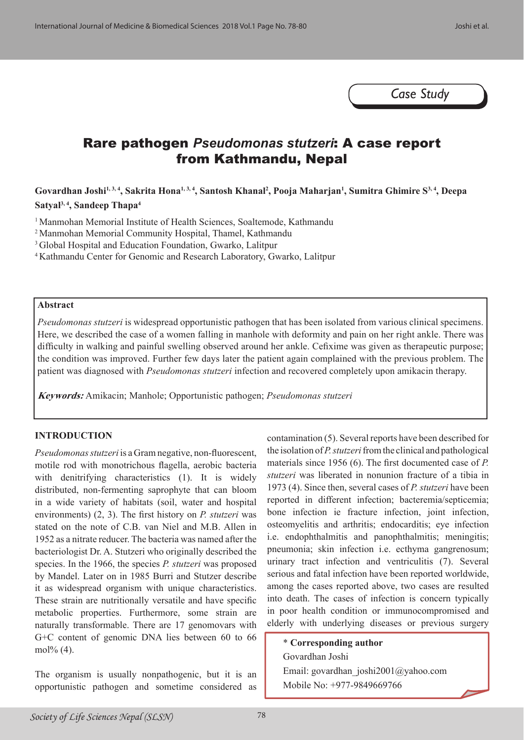*Case Study*

# Rare pathogen *Pseudomonas stutzeri*: A case report from Kathmandu, Nepal

**Govardhan Joshi1, 3, 4, Sakrita Hona1, 3, 4, Santosh Khanal2 , Pooja Maharjan1 , Sumitra Ghimire S3, 4, Deepa Satyal3, 4, Sandeep Thapa4**

<sup>1</sup> Manmohan Memorial Institute of Health Sciences, Soaltemode, Kathmandu

2 Manmohan Memorial Community Hospital, Thamel, Kathmandu

<sup>3</sup> Global Hospital and Education Foundation, Gwarko, Lalitpur

4 Kathmandu Center for Genomic and Research Laboratory, Gwarko, Lalitpur

#### **Abstract**

*Pseudomonas stutzeri* is widespread opportunistic pathogen that has been isolated from various clinical specimens. Here, we described the case of a women falling in manhole with deformity and pain on her right ankle. There was difficulty in walking and painful swelling observed around her ankle. Cefixime was given as therapeutic purpose; the condition was improved. Further few days later the patient again complained with the previous problem. The patient was diagnosed with *Pseudomonas stutzeri* infection and recovered completely upon amikacin therapy.

**Keywords:** Amikacin; Manhole; Opportunistic pathogen; *Pseudomonas stutzeri*

#### **INTRODUCTION**

*Pseudomonas stutzeri* is a Gram negative, non-fluorescent, motile rod with monotrichous flagella, aerobic bacteria with denitrifying characteristics (1). It is widely distributed, non-fermenting saprophyte that can bloom in a wide variety of habitats (soil, water and hospital environments) (2, 3). The first history on *P. stutzeri* was stated on the note of C.B. van Niel and M.B. Allen in 1952 as a nitrate reducer. The bacteria was named after the bacteriologist Dr. A. Stutzeri who originally described the species. In the 1966, the species *P. stutzeri* was proposed by Mandel. Later on in 1985 Burri and Stutzer describe it as widespread organism with unique characteristics. These strain are nutritionally versatile and have specific metabolic properties. Furthermore, some strain are naturally transformable. There are 17 genomovars with G+C content of genomic DNA lies between 60 to 66 mol% (4).

The organism is usually nonpathogenic, but it is an opportunistic pathogen and sometime considered as contamination (5). Several reports have been described for the isolation of *P. stutzeri* from the clinical and pathological materials since 1956 (6). The first documented case of *P. stutzeri* was liberated in nonunion fracture of a tibia in 1973 (4). Since then, several cases of *P. stutzeri* have been reported in different infection; bacteremia/septicemia; bone infection ie fracture infection, joint infection, osteomyelitis and arthritis; endocarditis; eye infection i.e. endophthalmitis and panophthalmitis; meningitis; pneumonia; skin infection i.e. ecthyma gangrenosum; urinary tract infection and ventriculitis (7). Several serious and fatal infection have been reported worldwide, among the cases reported above, two cases are resulted into death. The cases of infection is concern typically in poor health condition or immunocompromised and elderly with underlying diseases or previous surgery

\* **Corresponding author** Govardhan Joshi Email: govardhan\_joshi2001@yahoo.com Mobile No: +977-9849669766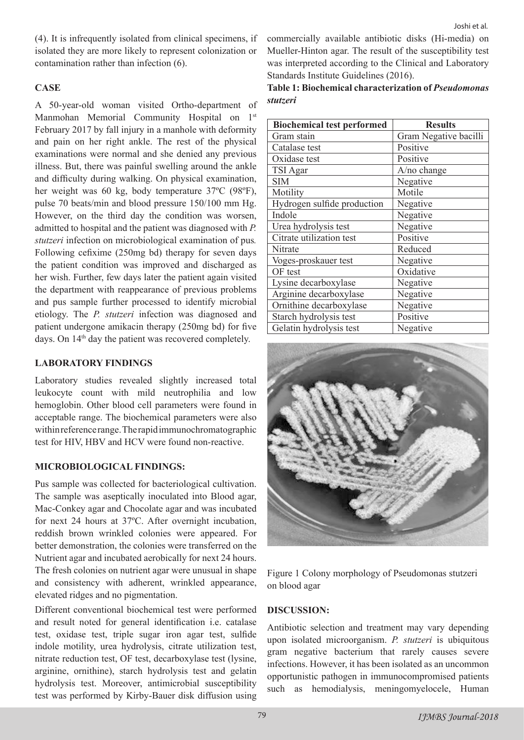(4). It is infrequently isolated from clinical specimens, if isolated they are more likely to represent colonization or contamination rather than infection (6).

# **CASE**

A 50-year-old woman visited Ortho-department of Manmohan Memorial Community Hospital on 1st February 2017 by fall injury in a manhole with deformity and pain on her right ankle. The rest of the physical examinations were normal and she denied any previous illness. But, there was painful swelling around the ankle and difficulty during walking. On physical examination, her weight was 60 kg, body temperature 37ºC (98ºF), pulse 70 beats/min and blood pressure 150/100 mm Hg. However, on the third day the condition was worsen, admitted to hospital and the patient was diagnosed with *P. stutzeri* infection on microbiological examination of pus*.*  Following cefixime (250mg bd) therapy for seven days the patient condition was improved and discharged as her wish. Further, few days later the patient again visited the department with reappearance of previous problems and pus sample further processed to identify microbial etiology. The *P. stutzeri* infection was diagnosed and patient undergone amikacin therapy (250mg bd) for five days. On 14<sup>th</sup> day the patient was recovered completely.

# **LABORATORY FINDINGS**

Laboratory studies revealed slightly increased total leukocyte count with mild neutrophilia and low hemoglobin. Other blood cell parameters were found in acceptable range. The biochemical parameters were also within reference range. The rapid immunochromatographic test for HIV, HBV and HCV were found non-reactive.

# **MICROBIOLOGICAL FINDINGS:**

Pus sample was collected for bacteriological cultivation. The sample was aseptically inoculated into Blood agar, Mac-Conkey agar and Chocolate agar and was incubated for next 24 hours at 37ºC. After overnight incubation, reddish brown wrinkled colonies were appeared. For better demonstration, the colonies were transferred on the Nutrient agar and incubated aerobically for next 24 hours. The fresh colonies on nutrient agar were unusual in shape and consistency with adherent, wrinkled appearance, elevated ridges and no pigmentation.

Different conventional biochemical test were performed and result noted for general identification i.e. catalase test, oxidase test, triple sugar iron agar test, sulfide indole motility, urea hydrolysis, citrate utilization test, nitrate reduction test, OF test, decarboxylase test (lysine, arginine, ornithine), starch hydrolysis test and gelatin hydrolysis test. Moreover, antimicrobial susceptibility test was performed by Kirby-Bauer disk diffusion using

commercially available antibiotic disks (Hi-media) on Mueller-Hinton agar. The result of the susceptibility test was interpreted according to the Clinical and Laboratory Standards Institute Guidelines (2016).

**Table 1: Biochemical characterization of** *Pseudomonas stutzeri*

| <b>Biochemical test performed</b> | <b>Results</b>        |
|-----------------------------------|-----------------------|
| Gram stain                        | Gram Negative bacilli |
| Catalase test                     | Positive              |
| Oxidase test                      | Positive              |
| TSI Agar                          | A/no change           |
| <b>SIM</b>                        | Negative              |
| Motility                          | Motile                |
| Hydrogen sulfide production       | Negative              |
| Indole                            | Negative              |
| Urea hydrolysis test              | Negative              |
| Citrate utilization test          | Positive              |
| Nitrate                           | Reduced               |
| Voges-proskauer test              | Negative              |
| OF test                           | Oxidative             |
| Lysine decarboxylase              | Negative              |
| Arginine decarboxylase            | Negative              |
| Ornithine decarboxylase           | Negative              |
| Starch hydrolysis test            | Positive              |
| Gelatin hydrolysis test           | Negative              |



Figure 1 Colony morphology of Pseudomonas stutzeri on blood agar

# **DISCUSSION:**

Antibiotic selection and treatment may vary depending upon isolated microorganism. *P. stutzeri* is ubiquitous gram negative bacterium that rarely causes severe infections. However, it has been isolated as an uncommon opportunistic pathogen in immunocompromised patients such as hemodialysis, meningomyelocele, Human